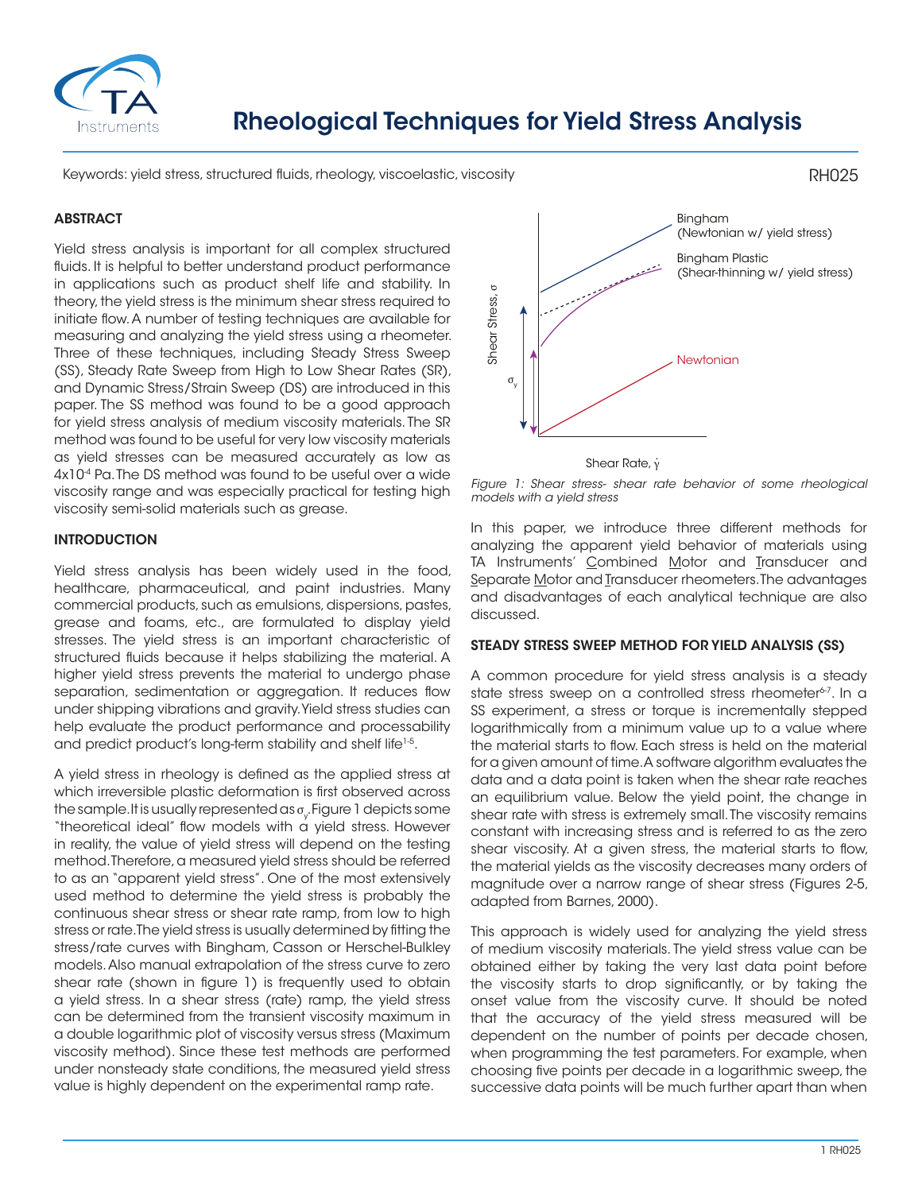

Keywords: yield stress, structured fluids, rheology, viscoelastic, viscosity

## **ABSTRACT**

Yield stress analysis is important for all complex structured fluids. It is helpful to better understand product performance in applications such as product shelf life and stability. In theory, the yield stress is the minimum shear stress required to initiate flow. A number of testing techniques are available for measuring and analyzing the yield stress using a rheometer. Three of these techniques, including Steady Stress Sweep (SS), Steady Rate Sweep from High to Low Shear Rates (SR), and Dynamic Stress/Strain Sweep (DS) are introduced in this paper. The SS method was found to be a good approach for yield stress analysis of medium viscosity materials. The SR method was found to be useful for very low viscosity materials as yield stresses can be measured accurately as low as 4x10<sup>-4</sup> Pa. The DS method was found to be useful over a wide viscosity range and was especially practical for testing high viscosity semi-solid materials such as grease.

### INTRODUCTION

Yield stress analysis has been widely used in the food, healthcare, pharmaceutical, and paint industries. Many commercial products, such as emulsions, dispersions, pastes, grease and foams, etc., are formulated to display yield stresses. The yield stress is an important characteristic of structured fluids because it helps stabilizing the material. A higher yield stress prevents the material to undergo phase separation, sedimentation or aggregation. It reduces flow under shipping vibrations and gravity. Yield stress studies can help evaluate the product performance and processability and predict product's long-term stability and shelf life<sup>1-5</sup>.

A yield stress in rheology is defined as the applied stress at which irreversible plastic deformation is first observed across the sample. It is usually represented as  $\sigma_{_{\! {\sqrt{}}}$  Figure 1 depicts some  $^?$ "theoretical ideal" flow models with a yield stress. However in reality, the value of yield stress will depend on the testing method. Therefore, a measured yield stress should be referred to as an "apparent yield stress". One of the most extensively used method to determine the yield stress is probably the continuous shear stress or shear rate ramp, from low to high stress or rate. The yield stress is usually determined by fitting the stress/rate curves with Bingham, Casson or Herschel-Bulkley models. Also manual extrapolation of the stress curve to zero shear rate (shown in figure 1) is frequently used to obtain a yield stress. In a shear stress (rate) ramp, the yield stress can be determined from the transient viscosity maximum in a double logarithmic plot of viscosity versus stress (Maximum viscosity method). Since these test methods are performed under nonsteady state conditions, the measured yield stress value is highly dependent on the experimental ramp rate.



Shear Rate, γ .

*Figure 1: Shear stress- shear rate behavior of some rheological models with a yield stress*

In this paper, we introduce three different methods for analyzing the apparent yield behavior of materials using TA Instruments' Combined Motor and Transducer and Separate Motor and Transducer rheometers. The advantages and disadvantages of each analytical technique are also discussed.

### STEADY STRESS SWEEP METHOD FOR YIELD ANALYSIS (SS)

A common procedure for yield stress analysis is a steady state stress sweep on a controlled stress rheometer<sup>6-7</sup>. In a SS experiment, a stress or torque is incrementally stepped logarithmically from a minimum value up to a value where the material starts to flow. Each stress is held on the material for a given amount of time. A software algorithm evaluates the data and a data point is taken when the shear rate reaches an equilibrium value. Below the yield point, the change in shear rate with stress is extremely small. The viscosity remains constant with increasing stress and is referred to as the zero shear viscosity. At a given stress, the material starts to flow, the material yields as the viscosity decreases many orders of magnitude over a narrow range of shear stress (Figures 2-5, adapted from Barnes, 2000). states of the much further apart of the much further apart and the much further points with a yield stress shear rate behavior of some medogical models with a yield stress. Shear rate behavior of materials string and anot

This approach is widely used for analyzing the yield stress of medium viscosity materials. The yield stress value can be obtained either by taking the very last data point before the viscosity starts to drop significantly, or by taking the onset value from the viscosity curve. It should be noted that the accuracy of the yield stress measured will be dependent on the number of points per decade chosen, when programming the test parameters. For example, when choosing five points per decade in a logarithmic sweep, the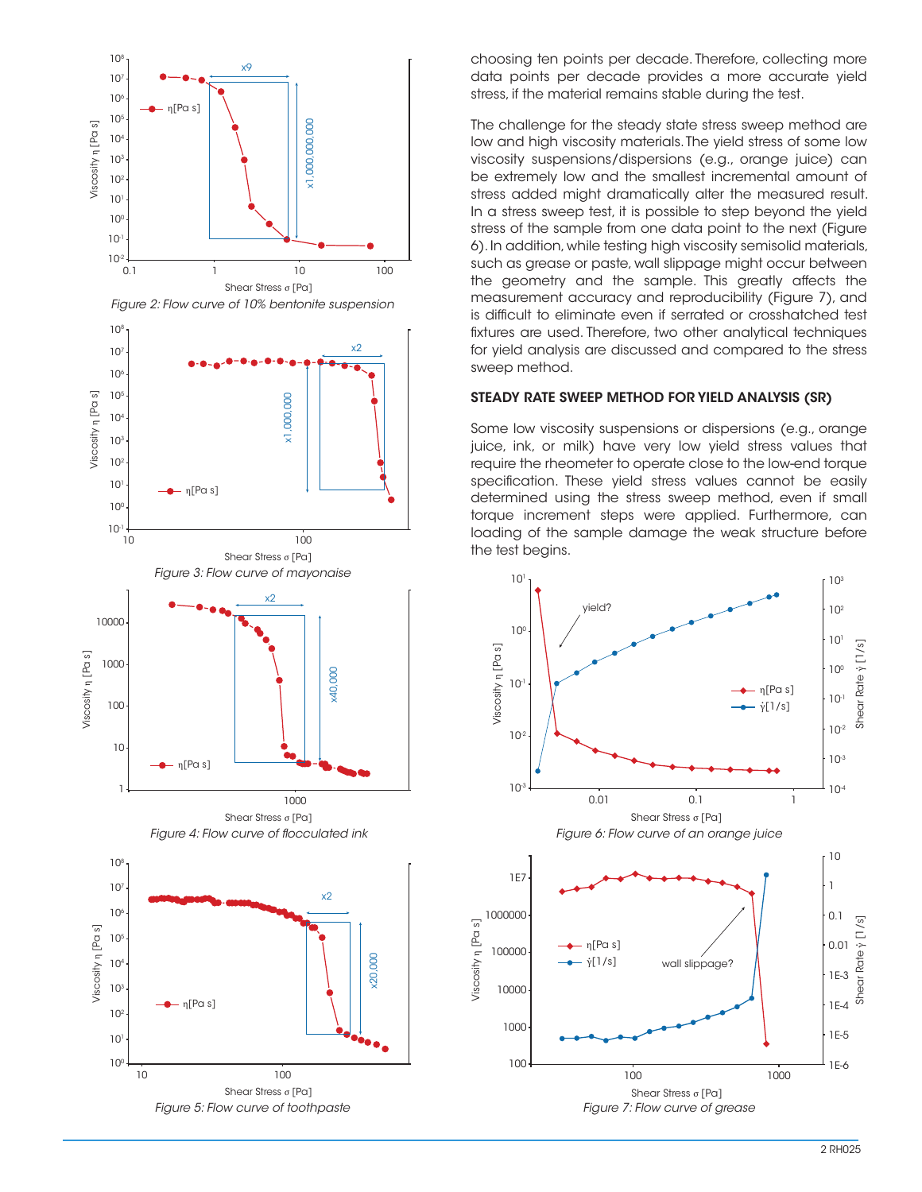

choosing ten points per decade. Therefore, collecting more data points per decade provides a more accurate yield stress, if the material remains stable during the test.

The challenge for the steady state stress sweep method are low and high viscosity materials. The yield stress of some low viscosity suspensions/dispersions (e.g., orange juice) can be extremely low and the smallest incremental amount of stress added might dramatically alter the measured result. In a stress sweep test, it is possible to step beyond the yield stress of the sample from one data point to the next (Figure 6). In addition, while testing high viscosity semisolid materials, such as grease or paste, wall slippage might occur between the geometry and the sample. This greatly affects the measurement accuracy and reproducibility (Figure 7), and is difficult to eliminate even if serrated or crosshatched test fixtures are used. Therefore, two other analytical techniques for yield analysis are discussed and compared to the stress sweep method.

## STEADY RATE SWEEP METHOD FOR YIELD ANALYSIS (SR)

Some low viscosity suspensions or dispersions (e.g., orange juice, ink, or milk) have very low yield stress values that require the rheometer to operate close to the low-end torque specification. These yield stress values cannot be easily determined using the stress sweep method, even if small torque increment steps were applied. Furthermore, can loading of the sample damage the weak structure before the test begins.

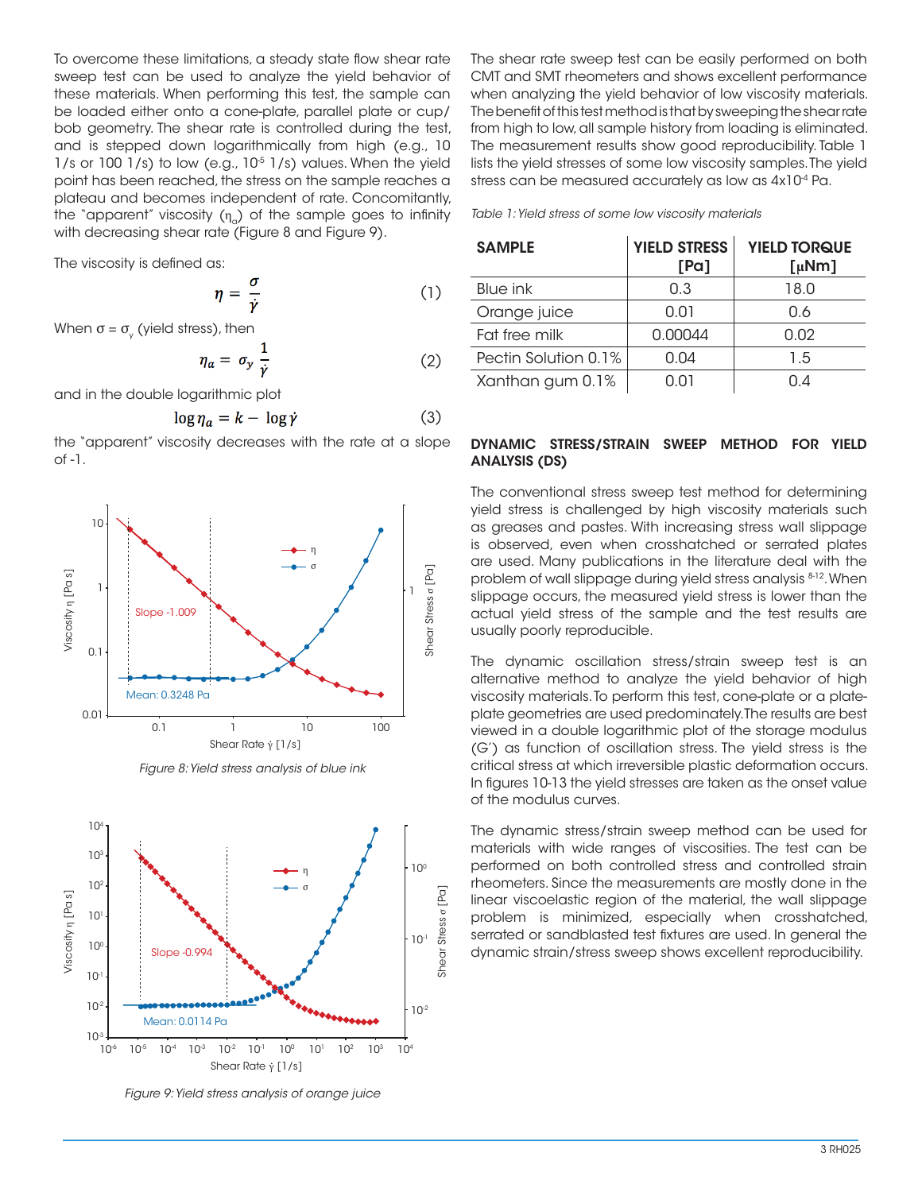To overcome these limitations, a steady state flow shear rate sweep test can be used to analyze the yield behavior of these materials. When performing this test, the sample can be loaded either onto a cone-plate, parallel plate or cup/ bob geometry. The shear rate is controlled during the test, and is stepped down logarithmically from high (e.g., 10  $1/s$  or 100  $1/s$ ) to low (e.g.,  $10<sup>5</sup> 1/s$ ) values. When the yield point has been reached, the stress on the sample reaches a plateau and becomes independent of rate. Concomitantly, the "apparent" viscosity  $(\eta_{\alpha})$  of the sample goes to infinity with decreasing shear rate (Figure 8 and Figure 9).

The viscosity is defined as:

$$
\eta = \frac{o}{\dot{\gamma}} \tag{1}
$$

When  $\sigma$  =  $\sigma_{\!\scriptscriptstyle\gamma}$  (yield stress), then

$$
\eta_a = \sigma_y \frac{1}{\dot{\gamma}} \tag{2}
$$

and in the double logarithmic plot

$$
\log \eta_a = k - \log \dot{\gamma} \tag{3}
$$

the "apparent" viscosity decreases with the rate at a slope of -1.







*Figure 9: Yield stress analysis of orange juice*

The shear rate sweep test can be easily performed on both CMT and SMT rheometers and shows excellent performance when analyzing the yield behavior of low viscosity materials. The benefit of this test method is that by sweeping the shear rate from high to low, all sample history from loading is eliminated. The measurement results show good reproducibility. Table 1 lists the yield stresses of some low viscosity samples. The yield stress can be measured accurately as low as  $4x10^4$  Pa.

*Table 1: Yield stress of some low viscosity materials*

| <b>SAMPLE</b>        | <b>YIELD STRESS</b><br>[Pa] | <b>YIELD TORQUE</b><br>$\left[\mu Nm\right]$ |
|----------------------|-----------------------------|----------------------------------------------|
| Blue ink             | 0.3                         | 18.0                                         |
| Orange juice         | 0.01                        | 0.6                                          |
| Fat free milk        | 0.00044                     | 0.02                                         |
| Pectin Solution 0.1% | 0.04                        | 1.5                                          |
| Xanthan gum 0.1%     | 0.01                        | በ 4                                          |

# DYNAMIC STRESS/STRAIN SWEEP METHOD FOR YIELD ANALYSIS (DS)

The conventional stress sweep test method for determining yield stress is challenged by high viscosity materials such as greases and pastes. With increasing stress wall slippage is observed, even when crosshatched or serrated plates are used. Many publications in the literature deal with the problem of wall slippage during yield stress analysis 8-12. When slippage occurs, the measured yield stress is lower than the actual yield stress of the sample and the test results are usually poorly reproducible.

The dynamic oscillation stress/strain sweep test is an alternative method to analyze the yield behavior of high viscosity materials. To perform this test, cone-plate or a plateplate geometries are used predominately. The results are best viewed in a double logarithmic plot of the storage modulus (G') as function of oscillation stress. The yield stress is the critical stress at which irreversible plastic deformation occurs. In figures 10-13 the yield stresses are taken as the onset value of the modulus curves.

The dynamic stress/strain sweep method can be used for materials with wide ranges of viscosities. The test can be performed on both controlled stress and controlled strain rheometers. Since the measurements are mostly done in the linear viscoelastic region of the material, the wall slippage problem is minimized, especially when crosshatched, serrated or sandblasted test fixtures are used. In general the dynamic strain/stress sweep shows excellent reproducibility.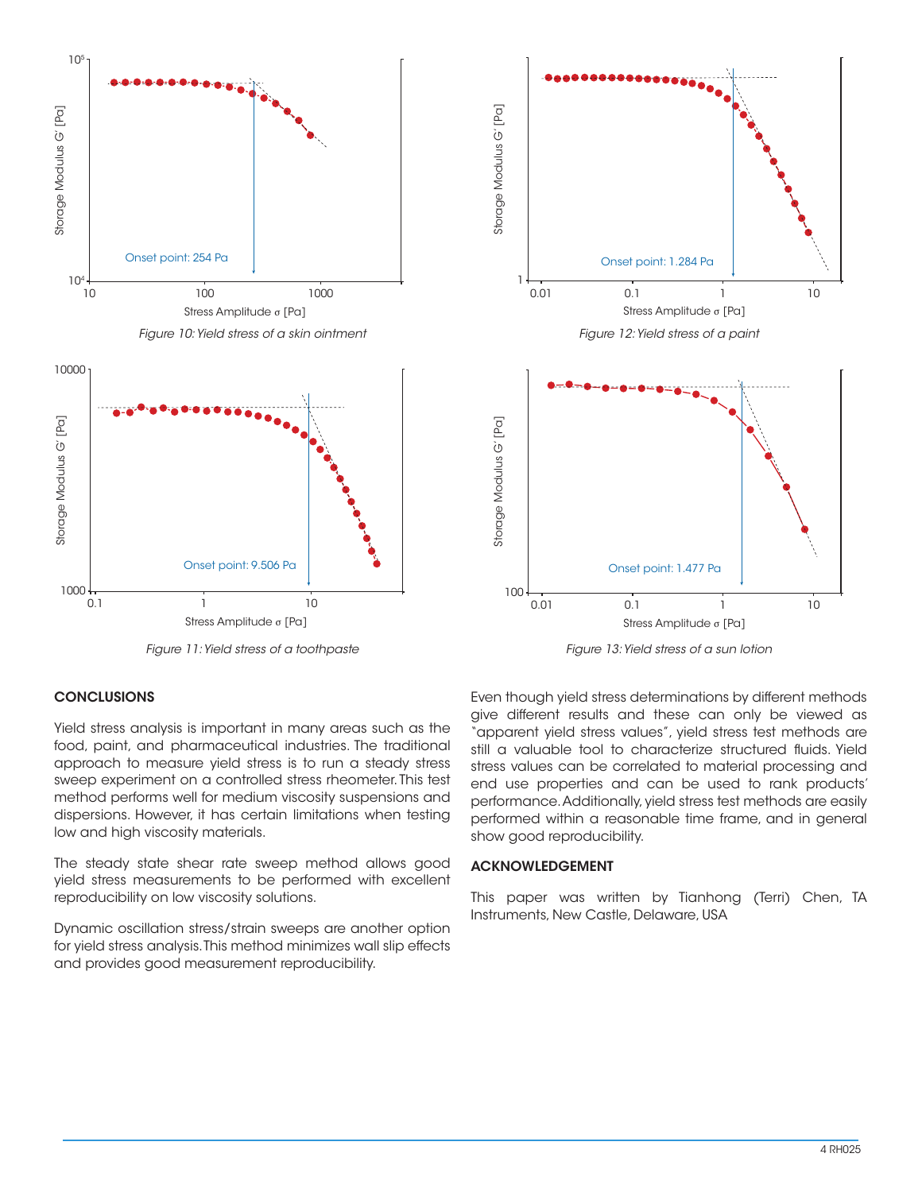



Stress Amplitude σ [Pa]

0.1 1 10

## **CONCLUSIONS**

— 1000<br>0.1

Yield stress analysis is important in many areas such as the food, paint, and pharmaceutical industries. The traditional approach to measure yield stress is to run a steady stress sweep experiment on a controlled stress rheometer. This test method performs well for medium viscosity suspensions and dispersions. However, it has certain limitations when testing low and high viscosity materials.

The steady state shear rate sweep method allows good yield stress measurements to be performed with excellent reproducibility on low viscosity solutions.

Dynamic oscillation stress/strain sweeps are another option for yield stress analysis. This method minimizes wall slip effects and provides good measurement reproducibility.

Even though yield stress determinations by different methods give different results and these can only be viewed as "apparent yield stress values", yield stress test methods are still a valuable tool to characterize structured fluids. Yield stress values can be correlated to material processing and end use properties and can be used to rank products' performance. Additionally, yield stress test methods are easily performed within a reasonable time frame, and in general show good reproducibility.

### ACKNOWLEDGEMENT

This paper was written by Tianhong (Terri) Chen, TA Instruments, New Castle, Delaware, USA